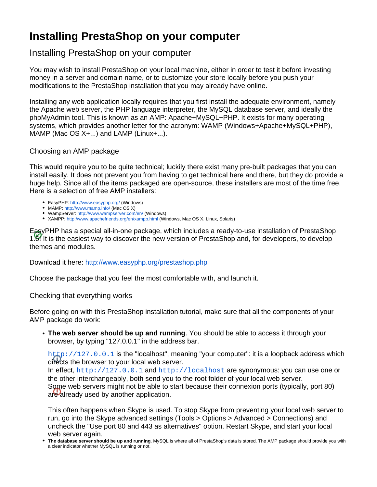## **Installing PrestaShop on your computer**

## Installing PrestaShop on your computer

You may wish to install PrestaShop on your local machine, either in order to test it before investing money in a server and domain name, or to customize your store locally before you push your modifications to the PrestaShop installation that you may already have online.

Installing any web application locally requires that you first install the adequate environment, namely the Apache web server, the PHP language interpreter, the MySQL database server, and ideally the phpMyAdmin tool. This is known as an AMP: Apache+MySQL+PHP. It exists for many operating systems, which provides another letter for the acronym: WAMP (Windows+Apache+MySQL+PHP), MAMP (Mac OS X+...) and LAMP (Linux+...).

## Choosing an AMP package

This would require you to be quite technical; luckily there exist many pre-built packages that you can install easily. It does not prevent you from having to get technical here and there, but they do provide a huge help. Since all of the items packaged are open-source, these installers are most of the time free. Here is a selection of free AMP installers:

- EasyPHP:<http://www.easyphp.org/>(Windows)
- MAMP: <http://www.mamp.info/>(Mac OS X)
- WampServer: <http://www.wampserver.com/en/>(Windows)
- XAMPP:<http://www.apachefriends.org/en/xampp.html>(Windows, Mac OS X, Linux, Solaris)

EasyPHP has a special all-in-one package, which includes a ready-to-use installation of PrestaShop 1.6! It is the easiest way to discover the new version of PrestaShop and, for developers, to develop themes and modules.

Download it here: <http://www.easyphp.org/prestashop.php>

Choose the package that you feel the most comfortable with, and launch it.

## Checking that everything works

Before going on with this PrestaShop installation tutorial, make sure that all the components of your AMP package do work:

**The web server should be up and running**. You should be able to access it through your browser, by typing "127.0.0.1" in the address bar.

<http://127.0.0.1> is the "localhost", meaning "your computer": it is a loopback address which directs the browser to your local web server.

In effect, <http://127.0.0.1> and <http://localhost> are synonymous: you can use one or the other interchangeably, both send you to the root folder of your local web server. Some web servers might not be able to start because their connexion ports (typically, port 80) are already used by another application.

This often happens when Skype is used. To stop Skype from preventing your local web server to run, go into the Skype advanced settings (Tools > Options > Advanced > Connections) and uncheck the "Use port 80 and 443 as alternatives" option. Restart Skype, and start your local web server again.

**The database server should be up and running**. MySQL is where all of PrestaShop's data is stored. The AMP package should provide you with a clear indicator whether MySQL is running or not.